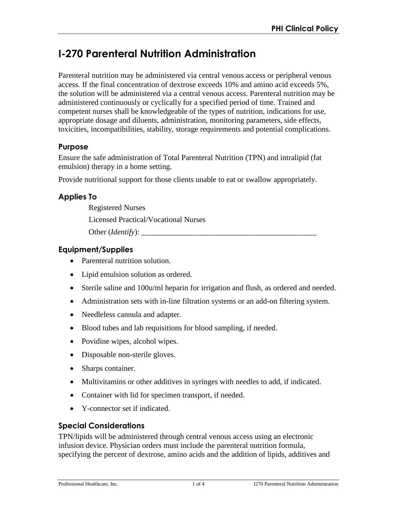# **I-270 Parenteral Nutrition Administration**

Parenteral nutrition may be administered via central venous access or peripheral venous access. If the final concentration of dextrose exceeds 10% and amino acid exceeds 5%, the solution will be administered via a central venous access. Parenteral nutrition may be administered continuously or cyclically for a specified period of time. Trained and competent nurses shall be knowledgeable of the types of nutrition, indications for use, appropriate dosage and diluents, administration, monitoring parameters, side effects, toxicities, incompatibilities, stability, storage requirements and potential complications.

# **Purpose**

Ensure the safe administration of Total Parenteral Nutrition (TPN) and intralipid (fat emulsion) therapy in a home setting.

Provide nutritional support for those clients unable to eat or swallow appropriately.

# **Applies To**

Registered Nurses Licensed Practical/Vocational Nurses

Other (*Identify*):

# **Equipment/Supplies**

- Parenteral nutrition solution.
- Lipid emulsion solution as ordered.
- Sterile saline and 100u/ml heparin for irrigation and flush, as ordered and needed.
- Administration sets with in-line filtration systems or an add-on filtering system.
- Needleless cannula and adapter.
- Blood tubes and lab requisitions for blood sampling, if needed.
- Povidine wipes, alcohol wipes.
- Disposable non-sterile gloves.
- Sharps container.
- Multivitamins or other additives in syringes with needles to add, if indicated.
- Container with lid for specimen transport, if needed.
- Y-connector set if indicated.

### **Special Considerations**

TPN/lipids will be administered through central venous access using an electronic infusion device. Physician orders must include the parenteral nutrition formula, specifying the percent of dextrose, amino acids and the addition of lipids, additives and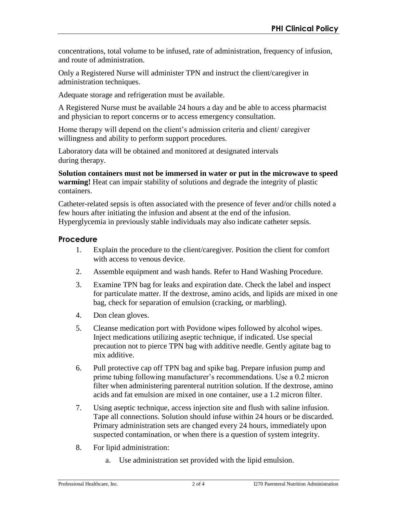concentrations, total volume to be infused, rate of administration, frequency of infusion, and route of administration.

Only a Registered Nurse will administer TPN and instruct the client/caregiver in administration techniques.

Adequate storage and refrigeration must be available.

A Registered Nurse must be available 24 hours a day and be able to access pharmacist and physician to report concerns or to access emergency consultation.

Home therapy will depend on the client's admission criteria and client/ caregiver willingness and ability to perform support procedures.

Laboratory data will be obtained and monitored at designated intervals during therapy.

**Solution containers must not be immersed in water or put in the microwave to speed warming!** Heat can impair stability of solutions and degrade the integrity of plastic containers.

Catheter-related sepsis is often associated with the presence of fever and/or chills noted a few hours after initiating the infusion and absent at the end of the infusion. Hyperglycemia in previously stable individuals may also indicate catheter sepsis.

# **Procedure**

- 1. Explain the procedure to the client/caregiver. Position the client for comfort with access to venous device.
- 2. Assemble equipment and wash hands. Refer to Hand Washing Procedure.
- 3. Examine TPN bag for leaks and expiration date. Check the label and inspect for particulate matter. If the dextrose, amino acids, and lipids are mixed in one bag, check for separation of emulsion (cracking, or marbling).
- 4. Don clean gloves.
- 5. Cleanse medication port with Povidone wipes followed by alcohol wipes. Inject medications utilizing aseptic technique, if indicated. Use special precaution not to pierce TPN bag with additive needle. Gently agitate bag to mix additive.
- 6. Pull protective cap off TPN bag and spike bag. Prepare infusion pump and prime tubing following manufacturer's recommendations. Use a 0.2 micron filter when administering parenteral nutrition solution. If the dextrose, amino acids and fat emulsion are mixed in one container, use a 1.2 micron filter.
- 7. Using aseptic technique, access injection site and flush with saline infusion. Tape all connections. Solution should infuse within 24 hours or be discarded. Primary administration sets are changed every 24 hours, immediately upon suspected contamination, or when there is a question of system integrity.
- 8. For lipid administration:
	- a. Use administration set provided with the lipid emulsion.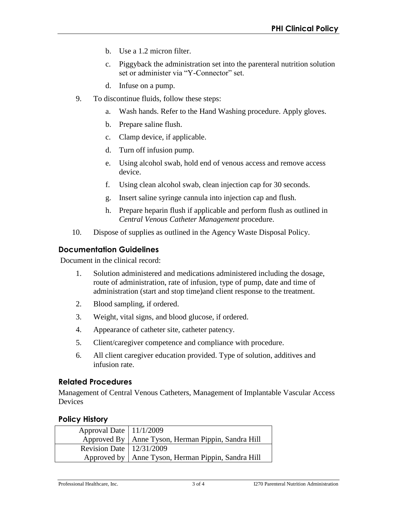- b. Use a 1.2 micron filter.
- c. Piggyback the administration set into the parenteral nutrition solution set or administer via "Y-Connector" set.
- d. Infuse on a pump.
- 9. To discontinue fluids, follow these steps:
	- a. Wash hands. Refer to the Hand Washing procedure. Apply gloves.
	- b. Prepare saline flush.
	- c. Clamp device, if applicable.
	- d. Turn off infusion pump.
	- e. Using alcohol swab, hold end of venous access and remove access device.
	- f. Using clean alcohol swab, clean injection cap for 30 seconds.
	- g. Insert saline syringe cannula into injection cap and flush.
	- h. Prepare heparin flush if applicable and perform flush as outlined in *Central Venous Catheter Management* procedure.
- 10. Dispose of supplies as outlined in the Agency Waste Disposal Policy.

### **Documentation Guidelines**

Document in the clinical record:

- 1. Solution administered and medications administered including the dosage, route of administration, rate of infusion, type of pump, date and time of administration (start and stop time)and client response to the treatment.
- 2. Blood sampling, if ordered.
- 3. Weight, vital signs, and blood glucose, if ordered.
- 4. Appearance of catheter site, catheter patency.
- 5. Client/caregiver competence and compliance with procedure.
- 6. All client caregiver education provided. Type of solution, additives and infusion rate.

### **Related Procedures**

Management of Central Venous Catheters, Management of Implantable Vascular Access Devices

### **Policy History**

| Approval Date   11/1/2009    |                                                      |
|------------------------------|------------------------------------------------------|
|                              | Approved By   Anne Tyson, Herman Pippin, Sandra Hill |
| Revision Date   $12/31/2009$ |                                                      |
|                              | Approved by   Anne Tyson, Herman Pippin, Sandra Hill |